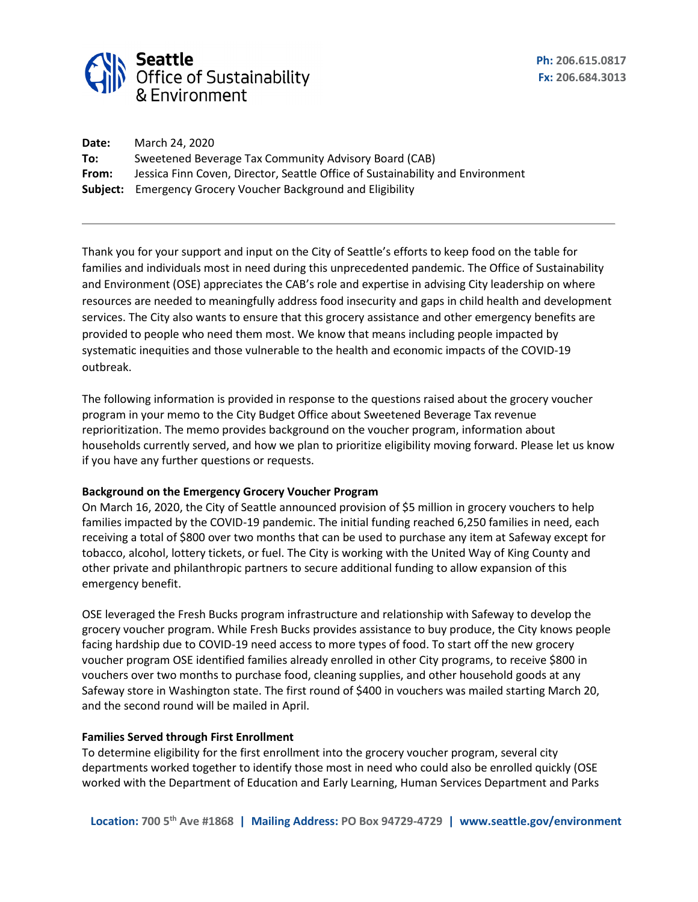

| Date: | March 24, 2020                                                                 |
|-------|--------------------------------------------------------------------------------|
| To:   | Sweetened Beverage Tax Community Advisory Board (CAB)                          |
| From: | Jessica Finn Coven, Director, Seattle Office of Sustainability and Environment |
|       | <b>Subject:</b> Emergency Grocery Voucher Background and Eligibility           |

Thank you for your support and input on the City of Seattle's efforts to keep food on the table for families and individuals most in need during this unprecedented pandemic. The Office of Sustainability and Environment (OSE) appreciates the CAB's role and expertise in advising City leadership on where resources are needed to meaningfully address food insecurity and gaps in child health and development services. The City also wants to ensure that this grocery assistance and other emergency benefits are provided to people who need them most. We know that means including people impacted by systematic inequities and those vulnerable to the health and economic impacts of the COVID-19 outbreak.

The following information is provided in response to the questions raised about the grocery voucher program in your memo to the City Budget Office about Sweetened Beverage Tax revenue reprioritization. The memo provides background on the voucher program, information about households currently served, and how we plan to prioritize eligibility moving forward. Please let us know if you have any further questions or requests.

### **Background on the Emergency Grocery Voucher Program**

On March 16, 2020, the City of Seattle announced provision of \$5 million in grocery vouchers to help families impacted by the COVID-19 pandemic. The initial funding reached 6,250 families in need, each receiving a total of \$800 over two months that can be used to purchase any item at Safeway except for tobacco, alcohol, lottery tickets, or fuel. The City is working with the United Way of King County and other private and philanthropic partners to secure additional funding to allow expansion of this emergency benefit.

OSE leveraged the Fresh Bucks program infrastructure and relationship with Safeway to develop the grocery voucher program. While Fresh Bucks provides assistance to buy produce, the City knows people facing hardship due to COVID-19 need access to more types of food. To start off the new grocery voucher program OSE identified families already enrolled in other City programs, to receive \$800 in vouchers over two months to purchase food, cleaning supplies, and other household goods at any Safeway store in Washington state. The first round of \$400 in vouchers was mailed starting March 20, and the second round will be mailed in April.

### **Families Served through First Enrollment**

To determine eligibility for the first enrollment into the grocery voucher program, several city departments worked together to identify those most in need who could also be enrolled quickly (OSE worked with the Department of Education and Early Learning, Human Services Department and Parks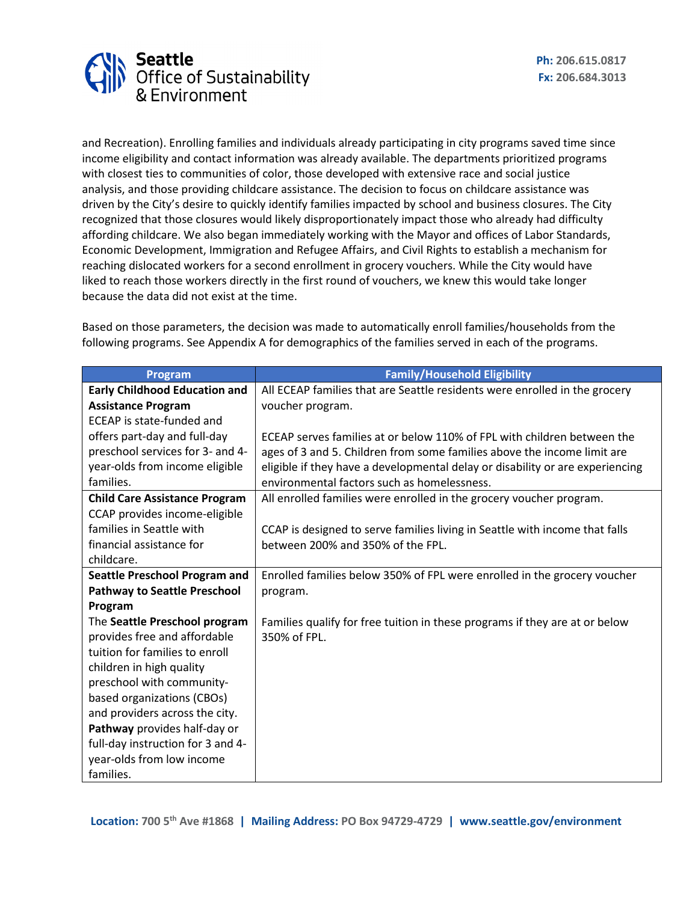

and Recreation). Enrolling families and individuals already participating in city programs saved time since income eligibility and contact information was already available. The departments prioritized programs with closest ties to communities of color, those developed with extensive race and social justice analysis, and those providing childcare assistance. The decision to focus on childcare assistance was driven by the City's desire to quickly identify families impacted by school and business closures. The City recognized that those closures would likely disproportionately impact those who already had difficulty affording childcare. We also began immediately working with the Mayor and offices of Labor Standards, Economic Development, Immigration and Refugee Affairs, and Civil Rights to establish a mechanism for reaching dislocated workers for a second enrollment in grocery vouchers. While the City would have liked to reach those workers directly in the first round of vouchers, we knew this would take longer because the data did not exist at the time.

Based on those parameters, the decision was made to automatically enroll families/households from the following programs. See Appendix A for demographics of the families served in each of the programs.

| Program                              | <b>Family/Household Eligibility</b>                                           |
|--------------------------------------|-------------------------------------------------------------------------------|
| <b>Early Childhood Education and</b> | All ECEAP families that are Seattle residents were enrolled in the grocery    |
| <b>Assistance Program</b>            | voucher program.                                                              |
| ECEAP is state-funded and            |                                                                               |
| offers part-day and full-day         | ECEAP serves families at or below 110% of FPL with children between the       |
| preschool services for 3- and 4-     | ages of 3 and 5. Children from some families above the income limit are       |
| year-olds from income eligible       | eligible if they have a developmental delay or disability or are experiencing |
| families.                            | environmental factors such as homelessness.                                   |
| <b>Child Care Assistance Program</b> | All enrolled families were enrolled in the grocery voucher program.           |
| CCAP provides income-eligible        |                                                                               |
| families in Seattle with             | CCAP is designed to serve families living in Seattle with income that falls   |
| financial assistance for             | between 200% and 350% of the FPL.                                             |
| childcare.                           |                                                                               |
| <b>Seattle Preschool Program and</b> | Enrolled families below 350% of FPL were enrolled in the grocery voucher      |
| <b>Pathway to Seattle Preschool</b>  | program.                                                                      |
| Program                              |                                                                               |
| The Seattle Preschool program        | Families qualify for free tuition in these programs if they are at or below   |
| provides free and affordable         | 350% of FPL.                                                                  |
| tuition for families to enroll       |                                                                               |
| children in high quality             |                                                                               |
| preschool with community-            |                                                                               |
| based organizations (CBOs)           |                                                                               |
| and providers across the city.       |                                                                               |
| Pathway provides half-day or         |                                                                               |
| full-day instruction for 3 and 4-    |                                                                               |
| year-olds from low income            |                                                                               |
| families.                            |                                                                               |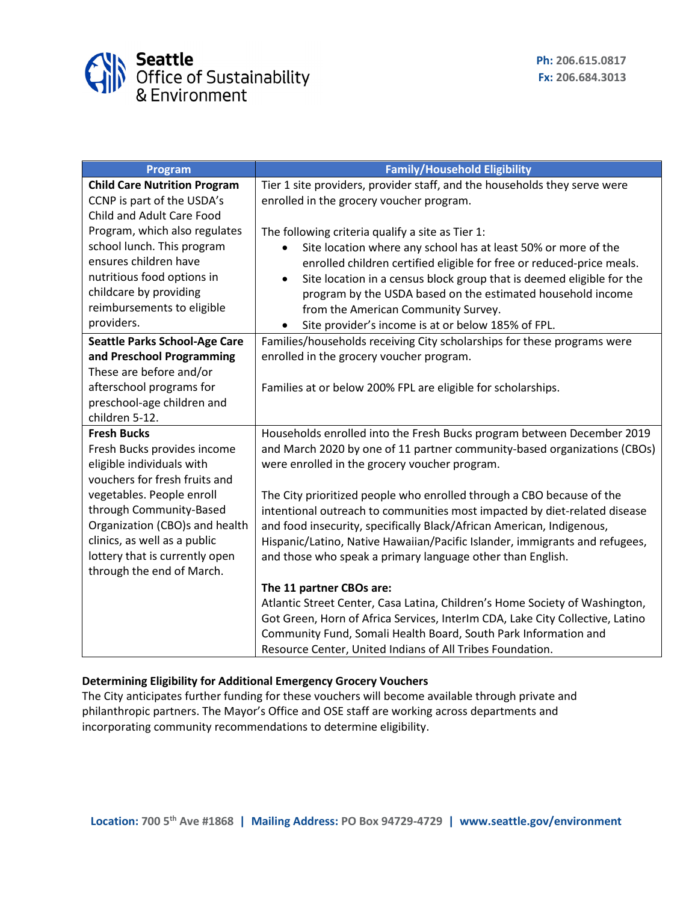

| Program                              | <b>Family/Household Eligibility</b>                                                |
|--------------------------------------|------------------------------------------------------------------------------------|
| <b>Child Care Nutrition Program</b>  | Tier 1 site providers, provider staff, and the households they serve were          |
| CCNP is part of the USDA's           | enrolled in the grocery voucher program.                                           |
| Child and Adult Care Food            |                                                                                    |
| Program, which also regulates        | The following criteria qualify a site as Tier 1:                                   |
| school lunch. This program           | Site location where any school has at least 50% or more of the                     |
| ensures children have                | enrolled children certified eligible for free or reduced-price meals.              |
| nutritious food options in           | Site location in a census block group that is deemed eligible for the<br>$\bullet$ |
| childcare by providing               | program by the USDA based on the estimated household income                        |
| reimbursements to eligible           | from the American Community Survey.                                                |
| providers.                           | Site provider's income is at or below 185% of FPL.                                 |
| <b>Seattle Parks School-Age Care</b> | Families/households receiving City scholarships for these programs were            |
| and Preschool Programming            | enrolled in the grocery voucher program.                                           |
| These are before and/or              |                                                                                    |
| afterschool programs for             | Families at or below 200% FPL are eligible for scholarships.                       |
| preschool-age children and           |                                                                                    |
| children 5-12.                       |                                                                                    |
| <b>Fresh Bucks</b>                   | Households enrolled into the Fresh Bucks program between December 2019             |
| Fresh Bucks provides income          | and March 2020 by one of 11 partner community-based organizations (CBOs)           |
| eligible individuals with            | were enrolled in the grocery voucher program.                                      |
| vouchers for fresh fruits and        |                                                                                    |
| vegetables. People enroll            | The City prioritized people who enrolled through a CBO because of the              |
| through Community-Based              | intentional outreach to communities most impacted by diet-related disease          |
| Organization (CBO)s and health       | and food insecurity, specifically Black/African American, Indigenous,              |
| clinics, as well as a public         | Hispanic/Latino, Native Hawaiian/Pacific Islander, immigrants and refugees,        |
| lottery that is currently open       | and those who speak a primary language other than English.                         |
| through the end of March.            |                                                                                    |
|                                      | The 11 partner CBOs are:                                                           |
|                                      | Atlantic Street Center, Casa Latina, Children's Home Society of Washington,        |
|                                      | Got Green, Horn of Africa Services, InterIm CDA, Lake City Collective, Latino      |
|                                      | Community Fund, Somali Health Board, South Park Information and                    |
|                                      | Resource Center, United Indians of All Tribes Foundation.                          |

# **Determining Eligibility for Additional Emergency Grocery Vouchers**

The City anticipates further funding for these vouchers will become available through private and philanthropic partners. The Mayor's Office and OSE staff are working across departments and incorporating community recommendations to determine eligibility.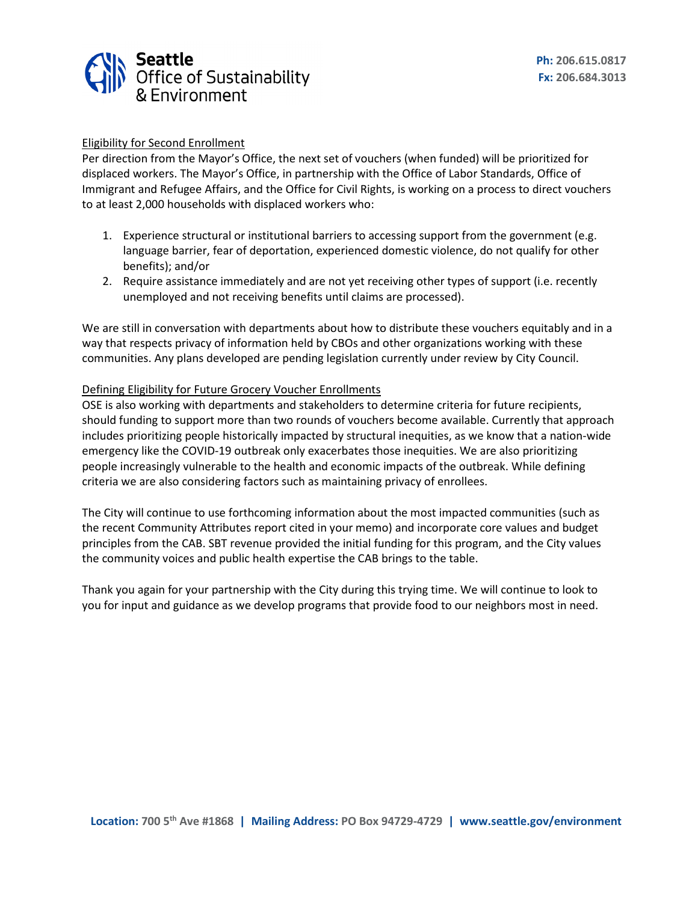

## Eligibility for Second Enrollment

Per direction from the Mayor's Office, the next set of vouchers (when funded) will be prioritized for displaced workers. The Mayor's Office, in partnership with the Office of Labor Standards, Office of Immigrant and Refugee Affairs, and the Office for Civil Rights, is working on a process to direct vouchers to at least 2,000 households with displaced workers who:

- 1. Experience structural or institutional barriers to accessing support from the government (e.g. language barrier, fear of deportation, experienced domestic violence, do not qualify for other benefits); and/or
- 2. Require assistance immediately and are not yet receiving other types of support (i.e. recently unemployed and not receiving benefits until claims are processed).

We are still in conversation with departments about how to distribute these vouchers equitably and in a way that respects privacy of information held by CBOs and other organizations working with these communities. Any plans developed are pending legislation currently under review by City Council.

### Defining Eligibility for Future Grocery Voucher Enrollments

OSE is also working with departments and stakeholders to determine criteria for future recipients, should funding to support more than two rounds of vouchers become available. Currently that approach includes prioritizing people historically impacted by structural inequities, as we know that a nation-wide emergency like the COVID-19 outbreak only exacerbates those inequities. We are also prioritizing people increasingly vulnerable to the health and economic impacts of the outbreak. While defining criteria we are also considering factors such as maintaining privacy of enrollees.

The City will continue to use forthcoming information about the most impacted communities (such as the recent Community Attributes report cited in your memo) and incorporate core values and budget principles from the CAB. SBT revenue provided the initial funding for this program, and the City values the community voices and public health expertise the CAB brings to the table.

Thank you again for your partnership with the City during this trying time. We will continue to look to you for input and guidance as we develop programs that provide food to our neighbors most in need.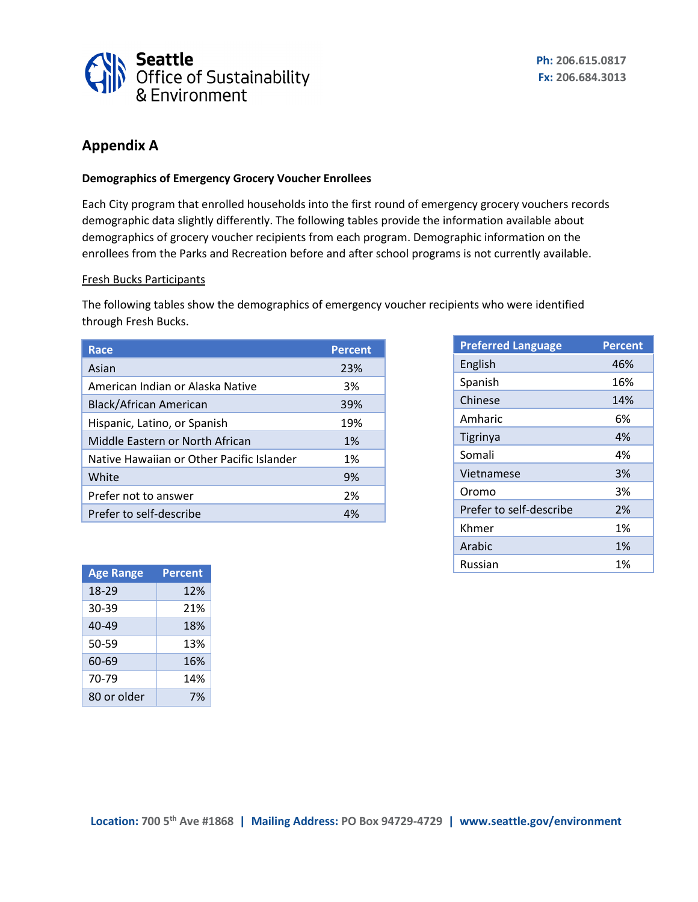

# **Appendix A**

## **Demographics of Emergency Grocery Voucher Enrollees**

Each City program that enrolled households into the first round of emergency grocery vouchers records demographic data slightly differently. The following tables provide the information available about demographics of grocery voucher recipients from each program. Demographic information on the enrollees from the Parks and Recreation before and after school programs is not currently available.

## Fresh Bucks Participants

The following tables show the demographics of emergency voucher recipients who were identified through Fresh Bucks.

| <b>Race</b>                               | <b>Percent</b> |
|-------------------------------------------|----------------|
| Asian                                     | 23%            |
| American Indian or Alaska Native          | 3%             |
| Black/African American                    | 39%            |
| Hispanic, Latino, or Spanish              | 19%            |
| Middle Eastern or North African           | 1%             |
| Native Hawaiian or Other Pacific Islander | 1%             |
| White                                     | 9%             |
| Prefer not to answer                      | 2%             |
| Prefer to self-describe                   | 4%             |

| <b>Preferred Language</b> | <b>Percent</b> |
|---------------------------|----------------|
| English                   | 46%            |
| Spanish                   | 16%            |
| Chinese                   | 14%            |
| Amharic                   | 6%             |
| Tigrinya                  | 4%             |
| Somali                    | 4%             |
| Vietnamese                | 3%             |
| Oromo                     | 3%             |
| Prefer to self-describe   | 2%             |
| Khmer                     | 1%             |
| Arabic                    | 1%             |
| Russian                   | 1%             |

| <b>Age Range</b> | <b>Percent</b> |
|------------------|----------------|
| 18-29            | 12%            |
| 30-39            | 21%            |
| 40-49            | 18%            |
| 50-59            | 13%            |
| 60-69            | 16%            |
| 70-79            | 14%            |
| 80 or older      | 7%             |